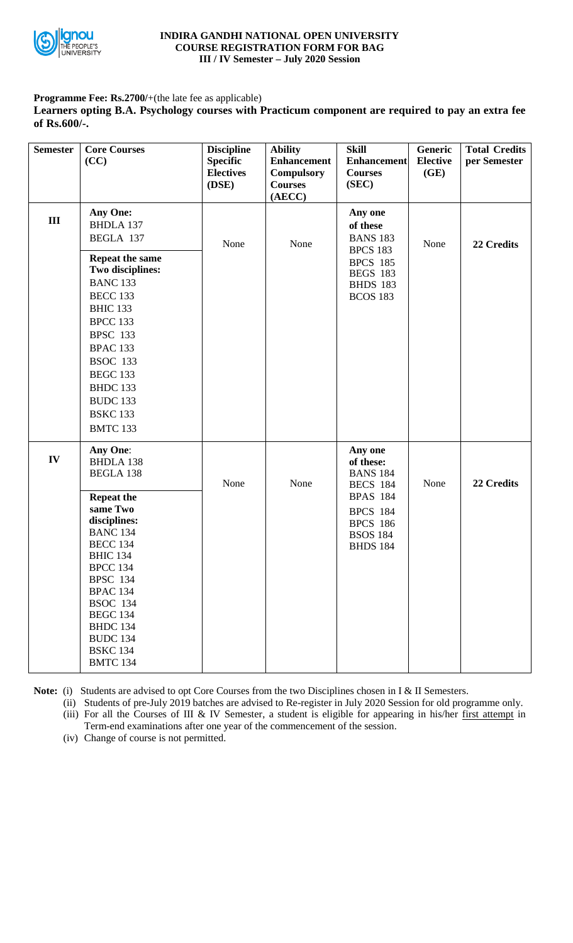

## **INDIRA GANDHI NATIONAL OPEN UNIVERSITY COURSE REGISTRATION FORM FOR BAG III / IV Semester – July 2020 Session**

**Programme Fee: Rs.2700/**+(the late fee as applicable)

**Learners opting B.A. Psychology courses with Practicum component are required to pay an extra fee of Rs.600/-.**

| <b>Semester</b> | <b>Core Courses</b><br>(CC)                                                                                                                                                                                                                                                                                                           | <b>Discipline</b><br><b>Specific</b><br><b>Electives</b><br>(DSE) | <b>Ability</b><br><b>Enhancement</b><br><b>Compulsory</b><br><b>Courses</b><br>(AECC) | <b>Skill</b><br><b>Enhancement</b><br><b>Courses</b><br>(SEC)                                                                                             | Generic<br><b>Elective</b><br>(GE) | <b>Total Credits</b><br>per Semester |
|-----------------|---------------------------------------------------------------------------------------------------------------------------------------------------------------------------------------------------------------------------------------------------------------------------------------------------------------------------------------|-------------------------------------------------------------------|---------------------------------------------------------------------------------------|-----------------------------------------------------------------------------------------------------------------------------------------------------------|------------------------------------|--------------------------------------|
| III             | <b>Any One:</b><br><b>BHDLA 137</b><br>BEGLA 137<br>Repeat the same<br>Two disciplines:<br><b>BANC 133</b><br><b>BECC 133</b><br><b>BHIC 133</b><br><b>BPCC 133</b><br><b>BPSC 133</b><br><b>BPAC 133</b><br><b>BSOC 133</b><br><b>BEGC 133</b><br><b>BHDC 133</b><br><b>BUDC 133</b><br><b>BSKC 133</b><br><b>BMTC 133</b>           | None                                                              | None                                                                                  | Any one<br>of these<br><b>BANS 183</b><br><b>BPCS 183</b><br><b>BPCS 185</b><br><b>BEGS 183</b><br><b>BHDS 183</b><br><b>BCOS 183</b>                     | None                               | 22 Credits                           |
| IV              | Any One:<br><b>BHDLA 138</b><br><b>BEGLA 138</b><br><b>Repeat the</b><br>same Two<br>disciplines:<br><b>BANC 134</b><br><b>BECC 134</b><br><b>BHIC 134</b><br><b>BPCC 134</b><br><b>BPSC 134</b><br><b>BPAC 134</b><br><b>BSOC 134</b><br><b>BEGC 134</b><br><b>BHDC 134</b><br><b>BUDC 134</b><br><b>BSKC 134</b><br><b>BMTC 134</b> | None                                                              | None                                                                                  | Any one<br>of these:<br><b>BANS 184</b><br><b>BECS 184</b><br><b>BPAS 184</b><br><b>BPCS 184</b><br><b>BPCS 186</b><br><b>BSOS 184</b><br><b>BHDS 184</b> | None                               | 22 Credits                           |

Note: (i) Students are advised to opt Core Courses from the two Disciplines chosen in I & II Semesters.

(ii) Students of pre-July 2019 batches are advised to Re-register in July 2020 Session for old programme only. (iii) For all the Courses of III & IV Semester, a student is eligible for appearing in his/her first attempt in Term-end examinations after one year of the commencement of the session.

(iv) Change of course is not permitted.